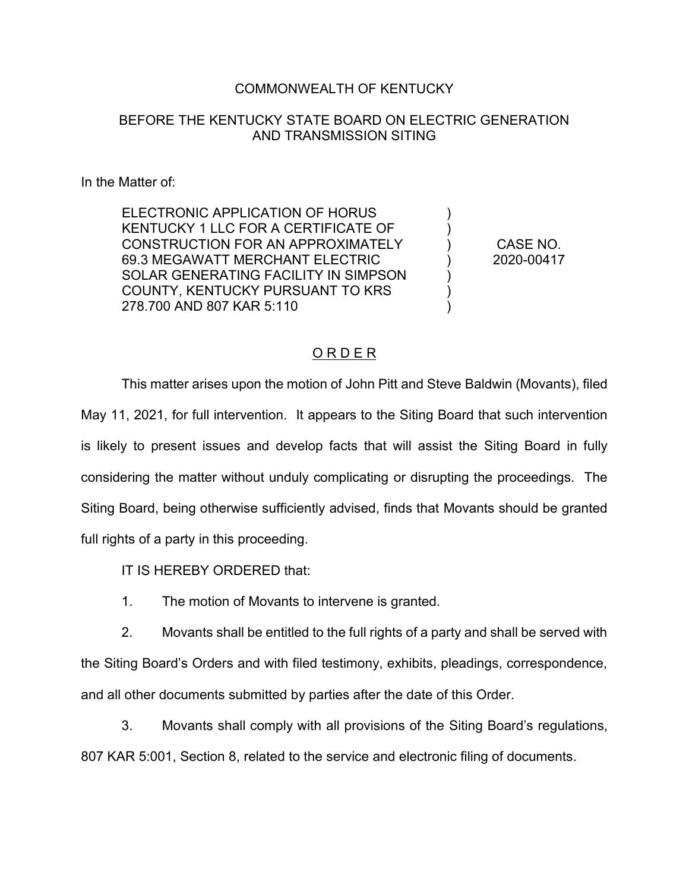## COMMONWEALTH OF KENTUCKY

## BEFORE THE KENTUCKY STATE BOARD ON ELECTRIC GENERATION AND TRANSMISSION SITING

#### In the Matter of:

ELECTRONIC APPLICATION OF HORUS KENTUCKY 1 LLC FOR A CERTIFICATE OF CONSTRUCTION FOR AN APPROXIMATELY 69.3 MEGAWATT MERCHANT ELECTRIC SOLAR GENERATING FACILITY IN SIMPSON COUNTY, KENTUCKY PURSUANT TO KRS 278.700 AND 807 KAR 5:110

CASE NO. 2020-00417

) ) ) ) ) ) )

### O R D E R

This matter arises upon the motion of John Pitt and Steve Baldwin (Movants), filed May 11, 2021, for full intervention. It appears to the Siting Board that such intervention is likely to present issues and develop facts that will assist the Siting Board in fully considering the matter without unduly complicating or disrupting the proceedings. The Siting Board, being otherwise sufficiently advised, finds that Movants should be granted full rights of a party in this proceeding.

IT IS HEREBY ORDERED that:

1. The motion of Movants to intervene is granted.

2. Movants shall be entitled to the full rights of a party and shall be served with the Siting Board's Orders and with filed testimony, exhibits, pleadings, correspondence, and all other documents submitted by parties after the date of this Order.

3. Movants shall comply with all provisions of the Siting Board's regulations, 807 KAR 5:001, Section 8, related to the service and electronic filing of documents.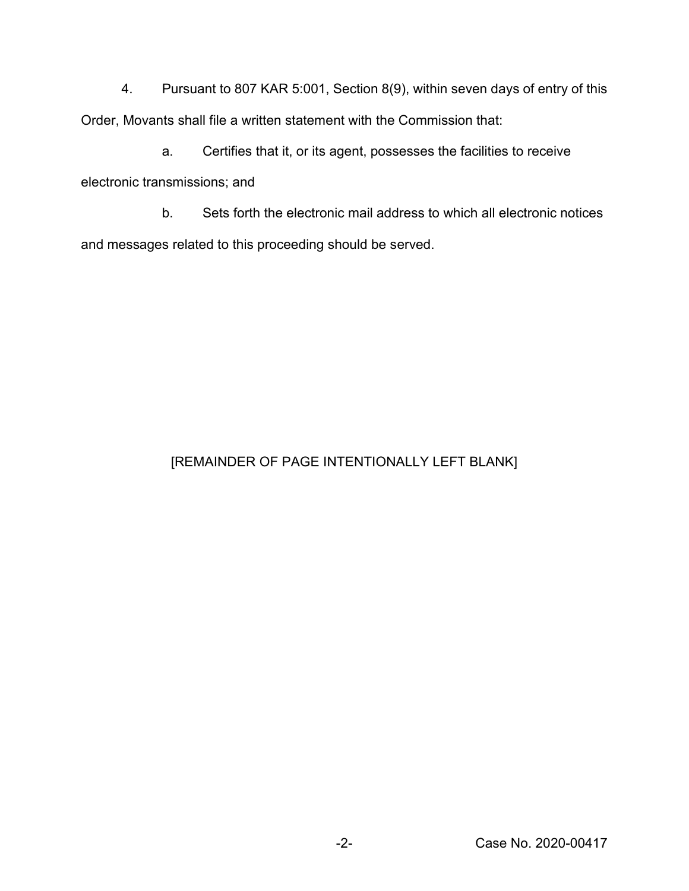4. Pursuant to 807 KAR 5:001, Section 8(9), within seven days of entry of this Order, Movants shall file a written statement with the Commission that:

a. Certifies that it, or its agent, possesses the facilities to receive electronic transmissions; and

b. Sets forth the electronic mail address to which all electronic notices and messages related to this proceeding should be served.

# [REMAINDER OF PAGE INTENTIONALLY LEFT BLANK]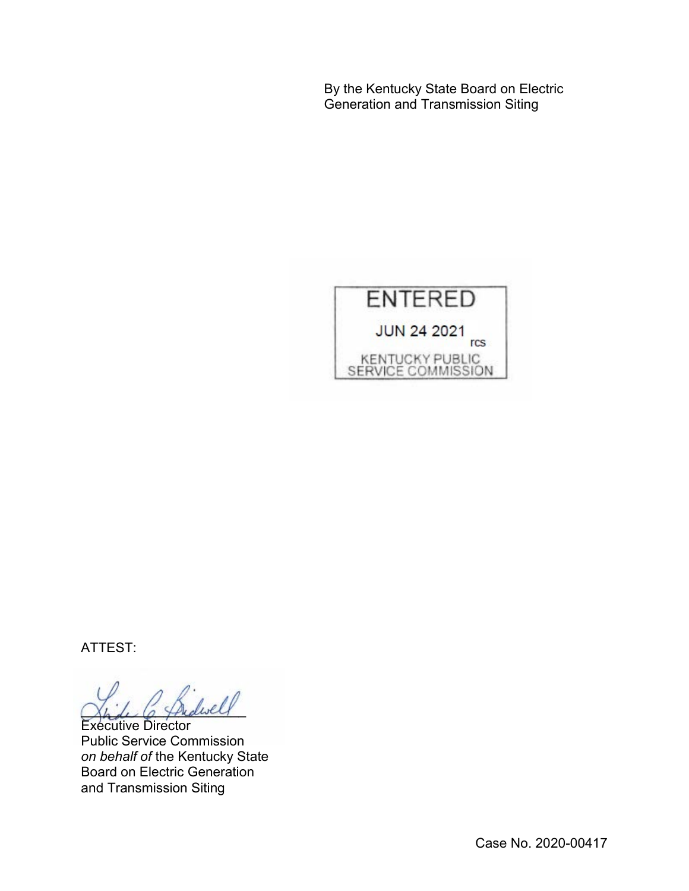By the Kentucky State Board on Electric Generation and Transmission Siting



ATTEST:

 $\omega$ ell

Executive Director Public Service Commission *on behalf of* the Kentucky State Board on Electric Generation and Transmission Siting